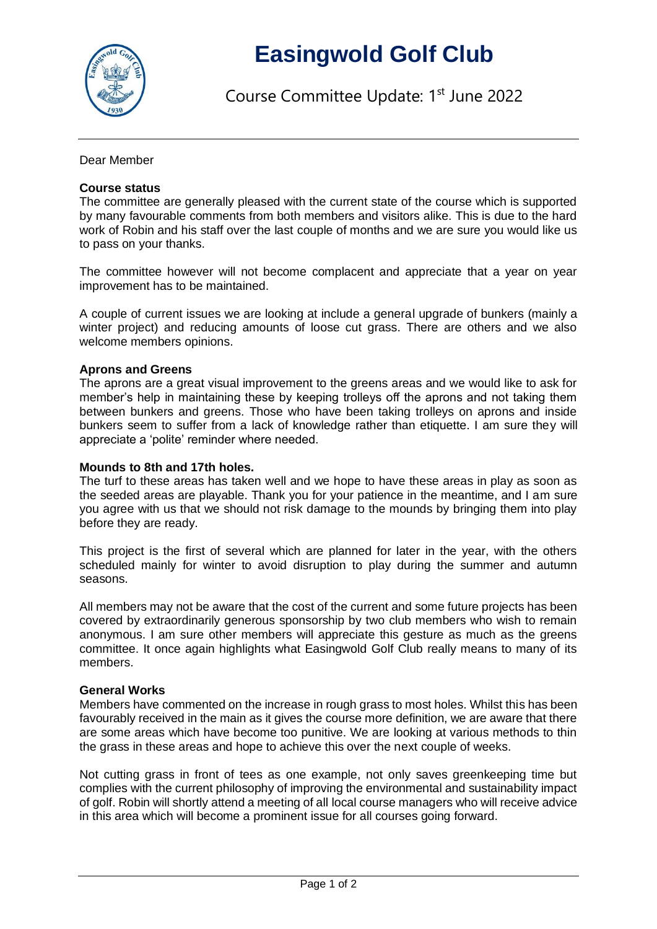

# **Easingwold Golf Club**

Course Committee Update: 1<sup>st</sup> June 2022

Dear Member

## **Course status**

The committee are generally pleased with the current state of the course which is supported by many favourable comments from both members and visitors alike. This is due to the hard work of Robin and his staff over the last couple of months and we are sure you would like us to pass on your thanks.

The committee however will not become complacent and appreciate that a year on year improvement has to be maintained.

A couple of current issues we are looking at include a general upgrade of bunkers (mainly a winter project) and reducing amounts of loose cut grass. There are others and we also welcome members opinions.

### **Aprons and Greens**

The aprons are a great visual improvement to the greens areas and we would like to ask for member's help in maintaining these by keeping trolleys off the aprons and not taking them between bunkers and greens. Those who have been taking trolleys on aprons and inside bunkers seem to suffer from a lack of knowledge rather than etiquette. I am sure they will appreciate a 'polite' reminder where needed.

#### **Mounds to 8th and 17th holes.**

The turf to these areas has taken well and we hope to have these areas in play as soon as the seeded areas are playable. Thank you for your patience in the meantime, and I am sure you agree with us that we should not risk damage to the mounds by bringing them into play before they are ready.

This project is the first of several which are planned for later in the year, with the others scheduled mainly for winter to avoid disruption to play during the summer and autumn seasons.

All members may not be aware that the cost of the current and some future projects has been covered by extraordinarily generous sponsorship by two club members who wish to remain anonymous. I am sure other members will appreciate this gesture as much as the greens committee. It once again highlights what Easingwold Golf Club really means to many of its members.

#### **General Works**

Members have commented on the increase in rough grass to most holes. Whilst this has been favourably received in the main as it gives the course more definition, we are aware that there are some areas which have become too punitive. We are looking at various methods to thin the grass in these areas and hope to achieve this over the next couple of weeks.

Not cutting grass in front of tees as one example, not only saves greenkeeping time but complies with the current philosophy of improving the environmental and sustainability impact of golf. Robin will shortly attend a meeting of all local course managers who will receive advice in this area which will become a prominent issue for all courses going forward.